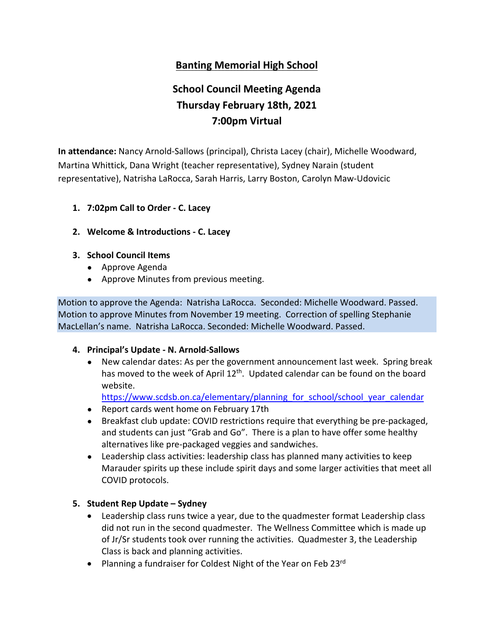### **Banting Memorial High School**

# **School Council Meeting Agenda Thursday February 18th, 2021 7:00pm Virtual**

**In attendance:** Nancy Arnold-Sallows (principal), Christa Lacey (chair), Michelle Woodward, Martina Whittick, Dana Wright (teacher representative), Sydney Narain (student representative), Natrisha LaRocca, Sarah Harris, Larry Boston, Carolyn Maw-Udovicic

- **1. 7:02pm Call to Order - C. Lacey**
- **2. Welcome & Introductions - C. Lacey**
- **3. School Council Items**
	- Approve Agenda
	- Approve Minutes from previous meeting.

Motion to approve the Agenda: Natrisha LaRocca. Seconded: Michelle Woodward. Passed. Motion to approve Minutes from November 19 meeting. Correction of spelling Stephanie MacLellan's name. Natrisha LaRocca. Seconded: Michelle Woodward. Passed.

#### **4. Principal's Update - N. Arnold-Sallows**

● New calendar dates: As per the government announcement last week. Spring break has moved to the week of April 12<sup>th</sup>. Updated calendar can be found on the board website.

https://www.scdsb.on.ca/elementary/planning for school/school year calendar

- Report cards went home on February 17th
- Breakfast club update: COVID restrictions require that everything be pre-packaged, and students can just "Grab and Go". There is a plan to have offer some healthy alternatives like pre-packaged veggies and sandwiches.
- Leadership class activities: leadership class has planned many activities to keep Marauder spirits up these include spirit days and some larger activities that meet all COVID protocols.

#### **5. Student Rep Update – Sydney**

- Leadership class runs twice a year, due to the quadmester format Leadership class did not run in the second quadmester. The Wellness Committee which is made up of Jr/Sr students took over running the activities. Quadmester 3, the Leadership Class is back and planning activities.
- Planning a fundraiser for Coldest Night of the Year on Feb 23rd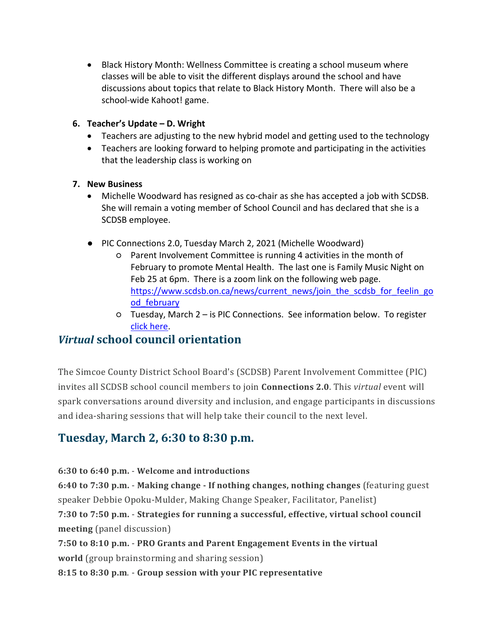• Black History Month: Wellness Committee is creating a school museum where classes will be able to visit the different displays around the school and have discussions about topics that relate to Black History Month. There will also be a school-wide Kahoot! game.

#### **6. Teacher's Update – D. Wright**

- Teachers are adjusting to the new hybrid model and getting used to the technology
- Teachers are looking forward to helping promote and participating in the activities that the leadership class is working on

#### **7. New Business**

- Michelle Woodward has resigned as co-chair as she has accepted a job with SCDSB. She will remain a voting member of School Council and has declared that she is a SCDSB employee.
- PIC Connections 2.0, Tuesday March 2, 2021 (Michelle Woodward)
	- Parent Involvement Committee is running 4 activities in the month of February to promote Mental Health. The last one is Family Music Night on Feb 25 at 6pm. There is a zoom link on the following web page. [https://www.scdsb.on.ca/news/current\\_news/join\\_the\\_scdsb\\_for\\_feelin\\_go](https://www.scdsb.on.ca/news/current_news/join_the_scdsb_for_feelin_good_february) [od\\_february](https://www.scdsb.on.ca/news/current_news/join_the_scdsb_for_feelin_good_february)
	- Tuesday, March 2 is PIC Connections. See information below. To register [click here.](https://forms.office.com/Pages/ResponsePage.aspx?id=ZH49V0PV2E-z2gxkrcTrNQ2dVOBD0R1Ii_y6gGJvC8hUQU8wSzYyTDhKMkFQN1laT0w1SzYwOEpVNi4u)

### *Virtual* **school council orientation**

The Simcoe County District School Board's (SCDSB) Parent Involvement Committee (PIC) invites all SCDSB school council members to join **Connections 2.0**. This *virtual* event will spark conversations around diversity and inclusion, and engage participants in discussions and idea-sharing sessions that will help take their council to the next level.

## **Tuesday, March 2, 6:30 to 8:30 p.m.**

**6:30 to 6:40 p.m.** - **Welcome and introductions**

**6:40 to 7:30 p.m.** - **Making change - If nothing changes, nothing changes** (featuring guest speaker Debbie Opoku-Mulder, Making Change Speaker, Facilitator, Panelist) **7:30 to 7:50 p.m.** - **Strategies for running a successful, effective, virtual school council** 

**meeting** (panel discussion)

**7:50 to 8:10 p.m.** - **PRO Grants and Parent Engagement Events in the virtual** 

**world** (group brainstorming and sharing session)

**8:15 to 8:30 p.m**. - **Group session with your PIC representative**